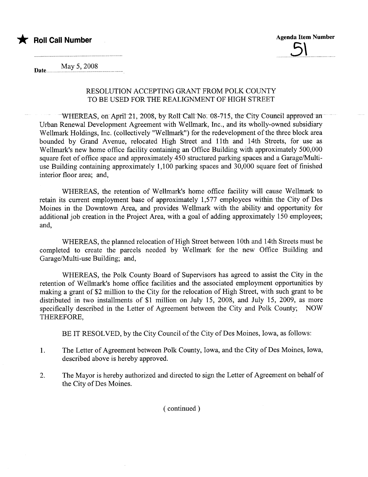



May 5, 2008

## RESOLUTION ACCEPTING GRANT FROM POLK COUNTY TO BE USED FOR THE REALIGNMENT OF HIGH STREET

 $-$  WHEREAS, on April 21, 2008, by Roll Call No. 08-715, the City Council approved an Urban Renewal Development Agreement with Wellmark, Inc., and its wholly-owned subsidiary Wellmark Holdings, Inc. (collectively "Wellmark") for the redevelopment of the three block area bounded by Grand Avenue, relocated High Street and 11th and 14th Streets, for use as Wellmark's new home office facility containing an Office Building with approximately 500,000 square feet of office space and approximately 450 structured parking spaces and a Garage/Multiuse Building containing approximately 1,100 parking spaces and 30,000 square feet of finished interior floor area; and,

WHEREAS, the retention of Wellmark's home office facility will cause Wellmark to retain its current employment base of approximately 1,577 employees within the City of Des Moines in the Downtown Area, and provides Wellmark with the ability and opportunity for additional job creation in the Project Area, with a goal of adding approximately 150 employees; and,

WHEREAS, the planned relocation of High Street between 10th and 14th Streets must be completed to create the parcels needed by Wellmark for the new Office Building and Garage/Multi-use Building; and,

WHEREAS, the Polk County Board of Supervisors has agreed to assist the City in the retention of Wellmark's home office facilities and the associated employment opportunities by making a grant of \$2 million to the City for the relocation of High Street, with such grant to be distributed in two installments of \$1 million on July 15, 2008, and July 15, 2009, as more specifically described in the Letter of Agreement between the City and Polk County; NOW THEREFORE,

BE IT RESOLVED, by the City Council of the City of Des Moines, Iowa, as follows:

- 1. The Letter of Agreement between Polk County, Iowa, and the City of Des Moines, Iowa, described above is hereby approved.
- 2. The Mayor is hereby authorized and directed to sign the Letter of Agreement on behalf of the City of Des Moines.

( continued)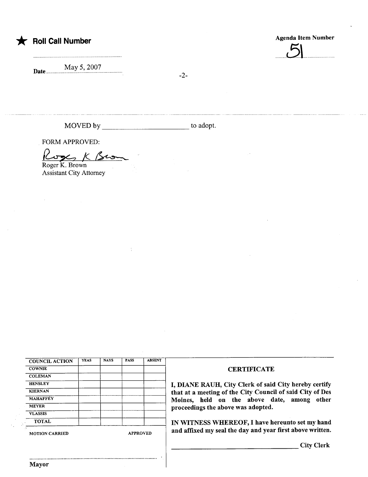

\* Roll Call Number Agenda Item Number Agenda Item Number

 $\cup$ 

Date.. May 5,2007

-2-

MOVED by to adopt.

FORM APPROVED:

FORM APPROVED:<br> $\begin{matrix} \text{Cyc} \\ \text{Roger K. Brown} \end{matrix}$ 

Assistant City Attorney

| <b>COUNCIL ACTION</b> | <b>YEAS</b> | <b>NAYS</b> | <b>PASS</b> | <b>ABSENT</b> |
|-----------------------|-------------|-------------|-------------|---------------|
| <b>COWNIE</b>         |             |             |             |               |
| <b>COLEMAN</b>        |             |             |             |               |
| <b>HENSLEY</b>        |             |             |             |               |
| <b>KIERNAN</b>        |             |             |             |               |
| <b>MAHAFFEY</b>       |             |             |             |               |
| <b>MEYER</b>          |             |             |             |               |
| <b>VLASSIS</b>        |             |             |             |               |
| <b>TOTAL</b>          |             |             |             |               |

..........................................................................................

## **CERTIFICATE**

I, DIANE RAUH, City Clerk of said City hereby certify that at a meeting of the City Council of said City of Des Moines, held on the above date, among other proceedings the above was adopted.

IN WITNESS WHEREOF, I have hereunto set my hand MOTION CARRIED APPROVED and affixed my seal the day and year first above written.

City Clerk